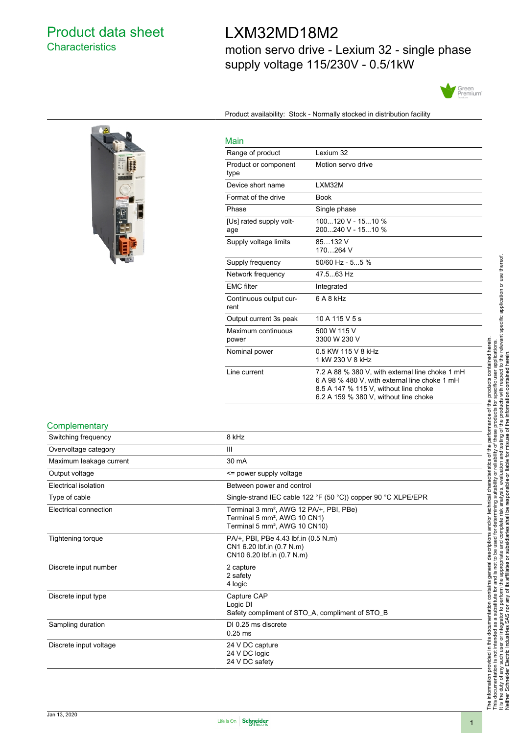# Product data sheet **Characteristics**

# LXM32MD18M2

motion servo drive - Lexium 32 - single phase supply voltage 115/230V - 0.5/1kW



Product availability: Stock - Normally stocked in distribution facility

| ١ |               |
|---|---------------|
|   | i K<br>×<br>t |
|   |               |
|   |               |
|   |               |

| Main                           |                                                                                                                                                                                    |
|--------------------------------|------------------------------------------------------------------------------------------------------------------------------------------------------------------------------------|
| Range of product               | Lexium 32                                                                                                                                                                          |
| Product or component<br>type   | Motion servo drive                                                                                                                                                                 |
| Device short name              | LXM32M                                                                                                                                                                             |
| Format of the drive            | <b>Book</b>                                                                                                                                                                        |
| Phase                          | Single phase                                                                                                                                                                       |
| [Us] rated supply volt-<br>age | 100120 V - 1510 %<br>200240 V - 1510 %                                                                                                                                             |
| Supply voltage limits          | 85132 V<br>170264 V                                                                                                                                                                |
| Supply frequency               | $50/60$ Hz - 55 %                                                                                                                                                                  |
| Network frequency              | 47.563 Hz                                                                                                                                                                          |
| <b>EMC</b> filter              | Integrated                                                                                                                                                                         |
| Continuous output cur-<br>rent | 6 A 8 kHz                                                                                                                                                                          |
| Output current 3s peak         | 10 A 115 V 5 s                                                                                                                                                                     |
| Maximum continuous<br>power    | 500 W 115 V<br>3300 W 230 V                                                                                                                                                        |
| Nominal power                  | 0.5 KW 115 V 8 kHz<br>1 kW 230 V 8 kHz                                                                                                                                             |
| Line current                   | 7.2 A 88 % 380 V, with external line choke 1 mH<br>6 A 98 % 480 V, with external line choke 1 mH<br>8.5 A 147 % 115 V, without line choke<br>6.2 A 159 % 380 V. without line choke |

#### **Complementary**

| Switching frequency     | 8 kHz                                                                                                                                        |
|-------------------------|----------------------------------------------------------------------------------------------------------------------------------------------|
| Overvoltage category    | Ш                                                                                                                                            |
| Maximum leakage current | 30 mA                                                                                                                                        |
| Output voltage          | <= power supply voltage                                                                                                                      |
| Electrical isolation    | Between power and control                                                                                                                    |
| Type of cable           | Single-strand IEC cable 122 °F (50 °C)) copper 90 °C XLPE/EPR                                                                                |
| Electrical connection   | Terminal 3 mm <sup>2</sup> , AWG 12 PA/+, PBI, PBe)<br>Terminal 5 mm <sup>2</sup> , AWG 10 CN1)<br>Terminal 5 mm <sup>2</sup> , AWG 10 CN10) |
| Tightening torque       | PA/+, PBI, PBe 4.43 lbf.in (0.5 N.m)<br>CN1 6.20 lbf.in (0.7 N.m)<br>CN10 6.20 lbf.in (0.7 N.m)                                              |
| Discrete input number   | 2 capture<br>2 safety<br>4 logic                                                                                                             |
| Discrete input type     | Capture CAP<br>Logic DI<br>Safety compliment of STO_A, compliment of STO_B                                                                   |
| Sampling duration       | DI 0.25 ms discrete<br>$0.25$ ms                                                                                                             |
| Discrete input voltage  | 24 V DC capture<br>24 V DC logic<br>24 V DC safety                                                                                           |

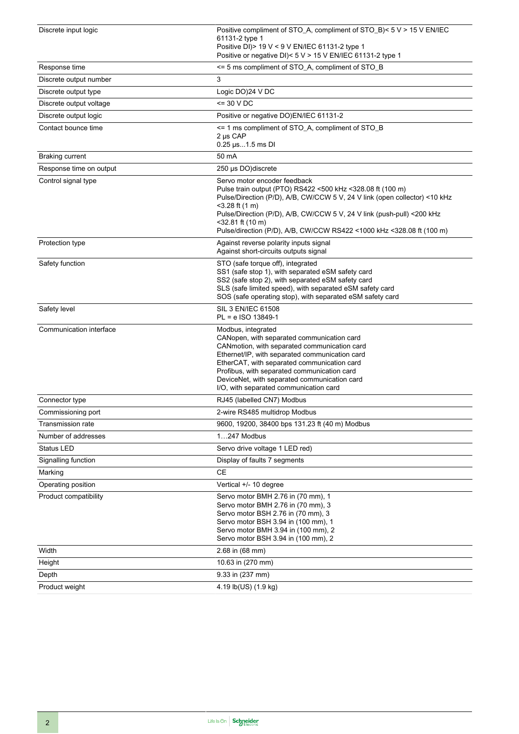| Discrete input logic    | Positive compliment of STO_A, compliment of STO_B)< 5 V > 15 V EN/IEC<br>61131-2 type 1<br>Positive DI) > 19 V < 9 V EN/IEC 61131-2 type 1<br>Positive or negative DI)< 5 V > 15 V EN/IEC 61131-2 type 1                                                                                                                                                                |
|-------------------------|-------------------------------------------------------------------------------------------------------------------------------------------------------------------------------------------------------------------------------------------------------------------------------------------------------------------------------------------------------------------------|
| Response time           | <= 5 ms compliment of STO_A, compliment of STO_B                                                                                                                                                                                                                                                                                                                        |
| Discrete output number  | 3                                                                                                                                                                                                                                                                                                                                                                       |
| Discrete output type    | Logic DO)24 V DC                                                                                                                                                                                                                                                                                                                                                        |
| Discrete output voltage | $=$ 30 V DC                                                                                                                                                                                                                                                                                                                                                             |
| Discrete output logic   | Positive or negative DO)EN/IEC 61131-2                                                                                                                                                                                                                                                                                                                                  |
| Contact bounce time     | <= 1 ms compliment of STO_A, compliment of STO_B<br>2 µs CAP<br>0.25 µs1.5 ms DI                                                                                                                                                                                                                                                                                        |
| <b>Braking current</b>  | 50 mA                                                                                                                                                                                                                                                                                                                                                                   |
| Response time on output | 250 µs DO) discrete                                                                                                                                                                                                                                                                                                                                                     |
| Control signal type     | Servo motor encoder feedback<br>Pulse train output (PTO) RS422 <500 kHz <328.08 ft (100 m)<br>Pulse/Direction (P/D), A/B, CW/CCW 5 V, 24 V link (open collector) <10 kHz<br>$<$ 3.28 ft (1 m)<br>Pulse/Direction (P/D), A/B, CW/CCW 5 V, 24 V link (push-pull) <200 kHz<br>$<$ 32.81 ft (10 m)<br>Pulse/direction (P/D), A/B, CW/CCW RS422 <1000 kHz <328.08 ft (100 m) |
| Protection type         | Against reverse polarity inputs signal<br>Against short-circuits outputs signal                                                                                                                                                                                                                                                                                         |
| Safety function         | STO (safe torque off), integrated<br>SS1 (safe stop 1), with separated eSM safety card<br>SS2 (safe stop 2), with separated eSM safety card<br>SLS (safe limited speed), with separated eSM safety card<br>SOS (safe operating stop), with separated eSM safety card                                                                                                    |
| Safety level            | SIL 3 EN/IEC 61508<br>PL = e ISO 13849-1                                                                                                                                                                                                                                                                                                                                |
| Communication interface | Modbus, integrated<br>CANopen, with separated communication card<br>CANmotion, with separated communication card<br>Ethernet/IP, with separated communication card<br>EtherCAT, with separated communication card<br>Profibus, with separated communication card<br>DeviceNet, with separated communication card<br>I/O, with separated communication card              |
| Connector type          | RJ45 (labelled CN7) Modbus                                                                                                                                                                                                                                                                                                                                              |
| Commissioning port      | 2-wire RS485 multidrop Modbus                                                                                                                                                                                                                                                                                                                                           |
| Transmission rate       | 9600, 19200, 38400 bps 131.23 ft (40 m) Modbus                                                                                                                                                                                                                                                                                                                          |
| Number of addresses     | 1247 Modbus                                                                                                                                                                                                                                                                                                                                                             |
| Status LED              | Servo drive voltage 1 LED red)                                                                                                                                                                                                                                                                                                                                          |
| Signalling function     | Display of faults 7 segments                                                                                                                                                                                                                                                                                                                                            |
| Marking                 | CE                                                                                                                                                                                                                                                                                                                                                                      |
| Operating position      | Vertical +/- 10 degree                                                                                                                                                                                                                                                                                                                                                  |
| Product compatibility   | Servo motor BMH 2.76 in (70 mm), 1<br>Servo motor BMH 2.76 in (70 mm), 3<br>Servo motor BSH 2.76 in (70 mm), 3<br>Servo motor BSH 3.94 in (100 mm), 1<br>Servo motor BMH 3.94 in (100 mm), 2<br>Servo motor BSH 3.94 in (100 mm), 2                                                                                                                                     |
| Width                   | 2.68 in (68 mm)                                                                                                                                                                                                                                                                                                                                                         |
| Height                  | 10.63 in (270 mm)                                                                                                                                                                                                                                                                                                                                                       |
| Depth                   | 9.33 in (237 mm)                                                                                                                                                                                                                                                                                                                                                        |
| Product weight          | 4.19 lb(US) (1.9 kg)                                                                                                                                                                                                                                                                                                                                                    |